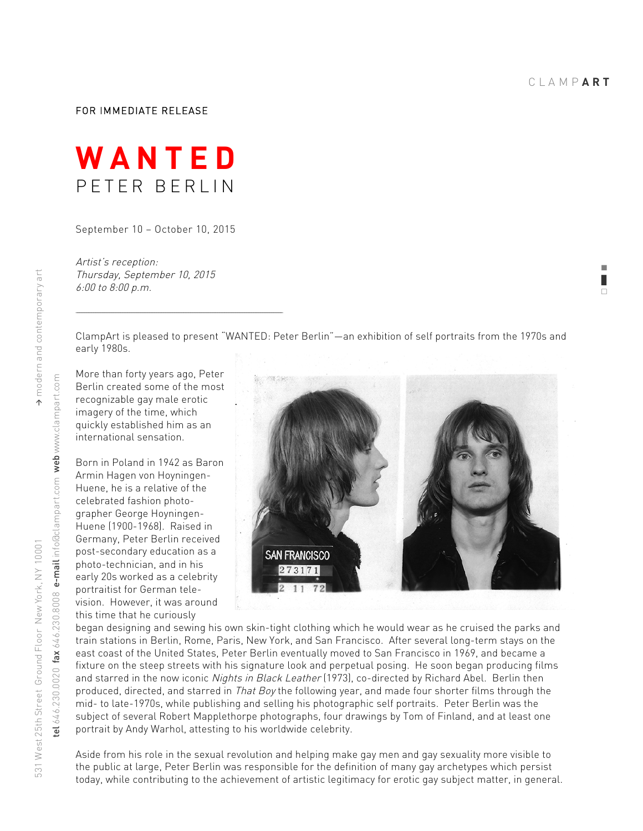! ❚  $\Box$ 

## FOR IMMEDIATE RELEASE



September 10 – October 10, 2015

Artist's reception: Thursday, September 10, 2015 6:00 to 8:00 p.m.

and the control of the control of the control of the control of the control of the control of the control of the

ClampArt is pleased to present "WANTED: Peter Berlin"—an exhibition of self portraits from the 1970s and early 1980s.

More than forty years ago, Peter Berlin created some of the most recognizable gay male erotic imagery of the time, which quickly established him as an international sensation.

Born in Poland in 1942 as Baron Armin Hagen von Hoyningen-Huene, he is a relative of the celebrated fashion photographer George Hoyningen-Huene (1900-1968). Raised in Germany, Peter Berlin received post-secondary education as a photo-technician, and in his early 20s worked as a celebrity portraitist for German television. However, it was around this time that he curiously



began designing and sewing his own skin-tight clothing which he would wear as he cruised the parks and train stations in Berlin, Rome, Paris, New York, and San Francisco. After several long-term stays on the east coast of the United States, Peter Berlin eventually moved to San Francisco in 1969, and became a fixture on the steep streets with his signature look and perpetual posing. He soon began producing films and starred in the now iconic Nights in Black Leather (1973), co-directed by Richard Abel. Berlin then produced, directed, and starred in That Boy the following year, and made four shorter films through the mid- to late-1970s, while publishing and selling his photographic self portraits. Peter Berlin was the subject of several Robert Mapplethorpe photographs, four drawings by Tom of Finland, and at least one portrait by Andy Warhol, attesting to his worldwide celebrity.

Aside from his role in the sexual revolution and helping make gay men and gay sexuality more visible to the public at large, Peter Berlin was responsible for the definition of many gay archetypes which persist today, while contributing to the achievement of artistic legitimacy for erotic gay subject matter, in general.

tel 646.230.0020 fax 646.230.8008 e-mail info@clampart.com web www.clampart.com

 $e$ l 646.230.0020 fax 646.230.8008  $e$ -mail info@clampart.com web www.clampart.com